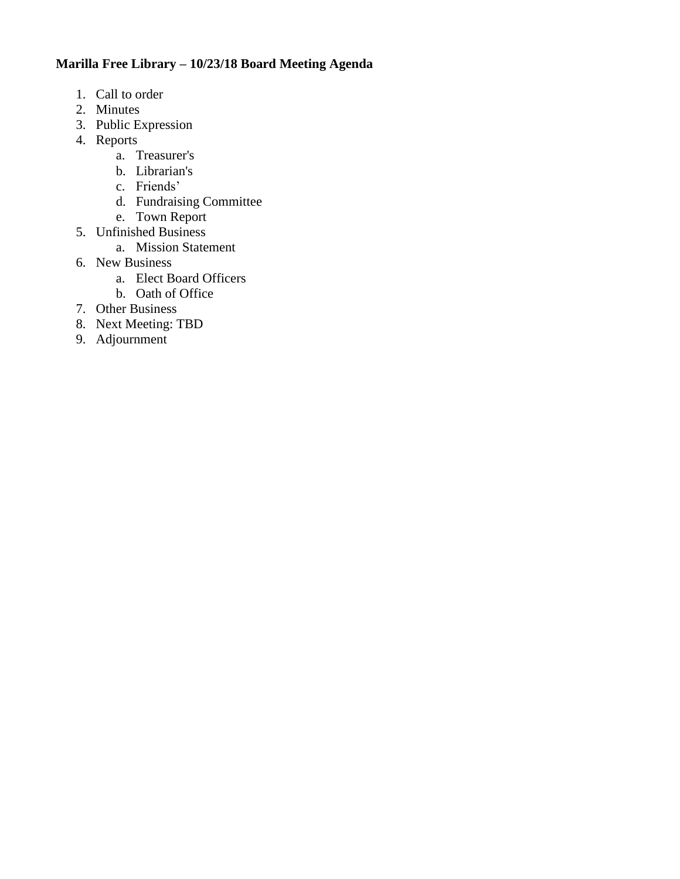# **Marilla Free Library – 10/23/18 Board Meeting Agenda**

- 1. Call to order
- 2. Minutes
- 3. Public Expression
- 4. Reports
	- a. Treasurer's
	- b. Librarian's
	- c. Friends'
	- d. Fundraising Committee
	- e. Town Report
- 5. Unfinished Business
	- a. Mission Statement
- 6. New Business
	- a. Elect Board Officers
	- b. Oath of Office
- 7. Other Business
- 8. Next Meeting: TBD
- 9. Adjournment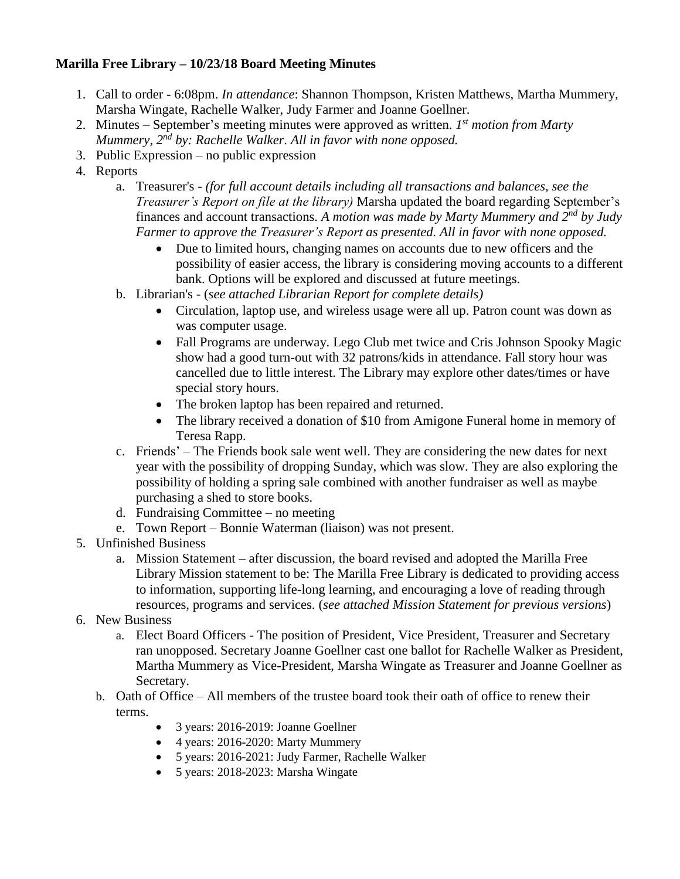# **Marilla Free Library – 10/23/18 Board Meeting Minutes**

- 1. Call to order 6:08pm. *In attendance*: Shannon Thompson, Kristen Matthews, Martha Mummery, Marsha Wingate, Rachelle Walker, Judy Farmer and Joanne Goellner.
- 2. Minutes September's meeting minutes were approved as written. *I*<sup>st</sup> motion from Marty *Mummery, 2nd by: Rachelle Walker. All in favor with none opposed.*
- 3. Public Expression no public expression
- 4. Reports
	- a. Treasurer's *(for full account details including all transactions and balances, see the Treasurer's Report on file at the library)* Marsha updated the board regarding September's finances and account transactions. *A motion was made by Marty Mummery and 2nd by Judy Farmer to approve the Treasurer's Report as presented. All in favor with none opposed.*
		- Due to limited hours, changing names on accounts due to new officers and the possibility of easier access, the library is considering moving accounts to a different bank. Options will be explored and discussed at future meetings.
	- b. Librarian's (*see attached Librarian Report for complete details)*
		- Circulation, laptop use, and wireless usage were all up. Patron count was down as was computer usage.
		- Fall Programs are underway. Lego Club met twice and Cris Johnson Spooky Magic show had a good turn-out with 32 patrons/kids in attendance. Fall story hour was cancelled due to little interest. The Library may explore other dates/times or have special story hours.
		- The broken laptop has been repaired and returned.
		- The library received a donation of \$10 from Amigone Funeral home in memory of Teresa Rapp.
	- c. Friends' The Friends book sale went well. They are considering the new dates for next year with the possibility of dropping Sunday, which was slow. They are also exploring the possibility of holding a spring sale combined with another fundraiser as well as maybe purchasing a shed to store books.
	- d. Fundraising Committee no meeting
	- e. Town Report Bonnie Waterman (liaison) was not present.
- 5. Unfinished Business
	- a. Mission Statement after discussion, the board revised and adopted the Marilla Free Library Mission statement to be: The Marilla Free Library is dedicated to providing access to information, supporting life-long learning, and encouraging a love of reading through resources, programs and services. (*see attached Mission Statement for previous versions*)
- 6. New Business
	- a. Elect Board Officers The position of President, Vice President, Treasurer and Secretary ran unopposed. Secretary Joanne Goellner cast one ballot for Rachelle Walker as President, Martha Mummery as Vice-President, Marsha Wingate as Treasurer and Joanne Goellner as Secretary.
	- b. Oath of Office All members of the trustee board took their oath of office to renew their terms.
		- 3 years: 2016-2019: Joanne Goellner
		- 4 years: 2016-2020: Marty Mummery
		- 5 years: 2016-2021: Judy Farmer, Rachelle Walker
		- 5 years: 2018-2023: Marsha Wingate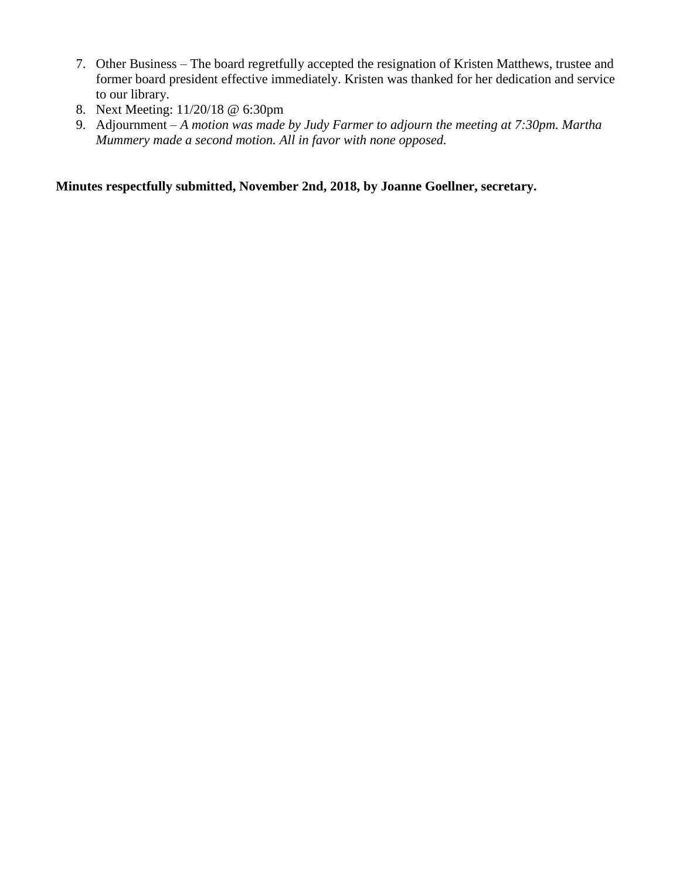- 7. Other Business The board regretfully accepted the resignation of Kristen Matthews, trustee and former board president effective immediately. Kristen was thanked for her dedication and service to our library.
- 8. Next Meeting: 11/20/18 @ 6:30pm
- 9. Adjournment *A motion was made by Judy Farmer to adjourn the meeting at 7:30pm. Martha Mummery made a second motion. All in favor with none opposed.*

**Minutes respectfully submitted, November 2nd, 2018, by Joanne Goellner, secretary.**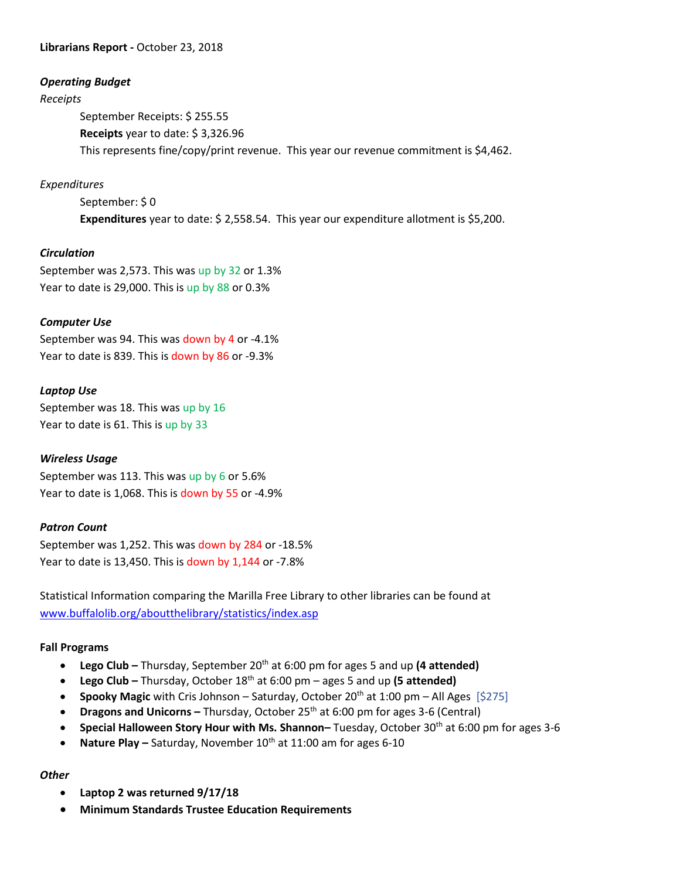#### **Librarians Report -** October 23, 2018

#### *Operating Budget*

#### *Receipts*

September Receipts: \$ 255.55 **Receipts** year to date: \$ 3,326.96 This represents fine/copy/print revenue. This year our revenue commitment is \$4,462.

### *Expenditures*

September: \$0 **Expenditures** year to date: \$ 2,558.54. This year our expenditure allotment is \$5,200.

### *Circulation*

September was 2,573. This was up by 32 or 1.3% Year to date is 29,000. This is up by 88 or 0.3%

### *Computer Use*

September was 94. This was down by 4 or -4.1% Year to date is 839. This is down by 86 or -9.3%

### *Laptop Use*

September was 18. This was up by 16 Year to date is 61. This is up by 33

### *Wireless Usage*

September was 113. This was up by 6 or 5.6% Year to date is 1,068. This is down by 55 or -4.9%

### *Patron Count*

September was 1,252. This was down by 284 or -18.5% Year to date is 13,450. This is down by 1,144 or -7.8%

Statistical Information comparing the Marilla Free Library to other libraries can be found at [www.buffalolib.org/aboutthelibrary/statistics/index.asp](http://www.buffalolib.org/aboutthelibrary/statistics/index.asp)

### **Fall Programs**

- **•** Lego Club Thursday, September 20<sup>th</sup> at 6:00 pm for ages 5 and up (4 attended)
- **Lego Club –** Thursday, October 18th at 6:00 pm ages 5 and up **(5 attended)**
- **Spooky Magic** with Cris Johnson Saturday, October 20<sup>th</sup> at 1:00 pm All Ages [\$275]
- **Dragons and Unicorns –** Thursday, October 25<sup>th</sup> at 6:00 pm for ages 3-6 (Central)
- **Special Halloween Story Hour with Ms. Shannon–** Tuesday, October 30th at 6:00 pm for ages 3-6
- **Nature Play –** Saturday, November 10<sup>th</sup> at 11:00 am for ages 6-10

### *Other*

- **Laptop 2 was returned 9/17/18**
- **Minimum Standards Trustee Education Requirements**